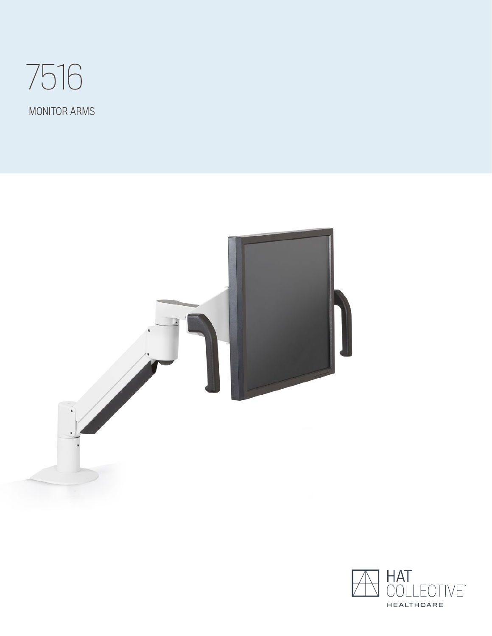